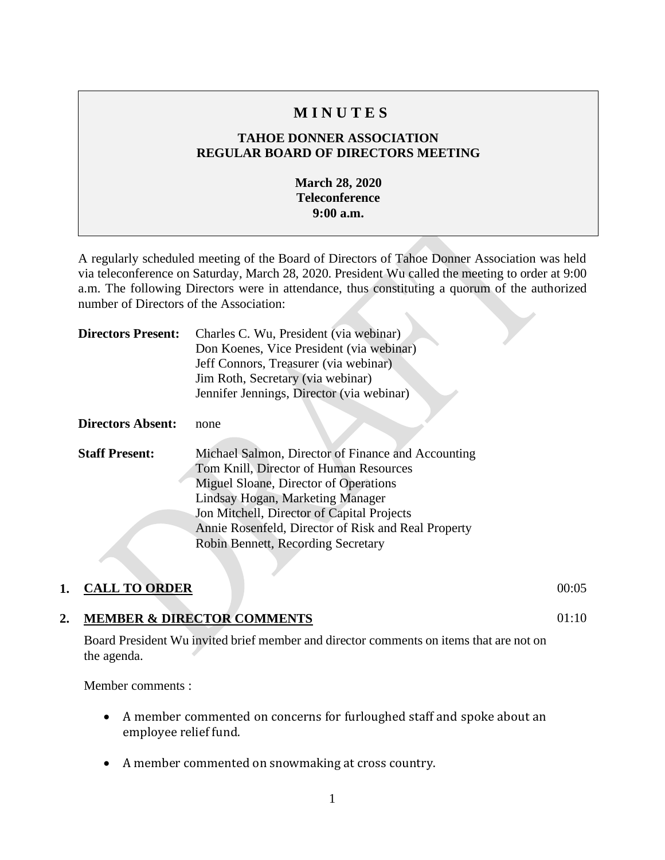# **M I N U T E S**

## **TAHOE DONNER ASSOCIATION REGULAR BOARD OF DIRECTORS MEETING**

#### **March 28, 2020 Teleconference 9:00 a.m.**

A regularly scheduled meeting of the Board of Directors of Tahoe Donner Association was held via teleconference on Saturday, March 28, 2020. President Wu called the meeting to order at 9:00 a.m. The following Directors were in attendance, thus constituting a quorum of the authorized number of Directors of the Association:

| <b>Directors Present:</b> | Charles C. Wu, President (via webinar)<br>Don Koenes, Vice President (via webinar)<br>Jeff Connors, Treasurer (via webinar)<br>Jim Roth, Secretary (via webinar)<br>Jennifer Jennings, Director (via webinar)                                                                                                        |
|---------------------------|----------------------------------------------------------------------------------------------------------------------------------------------------------------------------------------------------------------------------------------------------------------------------------------------------------------------|
|                           |                                                                                                                                                                                                                                                                                                                      |
| <b>Directors Absent:</b>  | none                                                                                                                                                                                                                                                                                                                 |
| <b>Staff Present:</b>     | Michael Salmon, Director of Finance and Accounting<br>Tom Knill, Director of Human Resources<br>Miguel Sloane, Director of Operations<br>Lindsay Hogan, Marketing Manager<br>Jon Mitchell, Director of Capital Projects<br>Annie Rosenfeld, Director of Risk and Real Property<br>Robin Bennett, Recording Secretary |

#### **1. CALL TO ORDER** 00:05

 $01:10$ 

#### **2. MEMBER & DIRECTOR COMMENTS**

Board President Wu invited brief member and director comments on items that are not on the agenda.

Member comments :

- A member commented on concerns for furloughed staff and spoke about an employee relief fund.
- A member commented on snowmaking at cross country.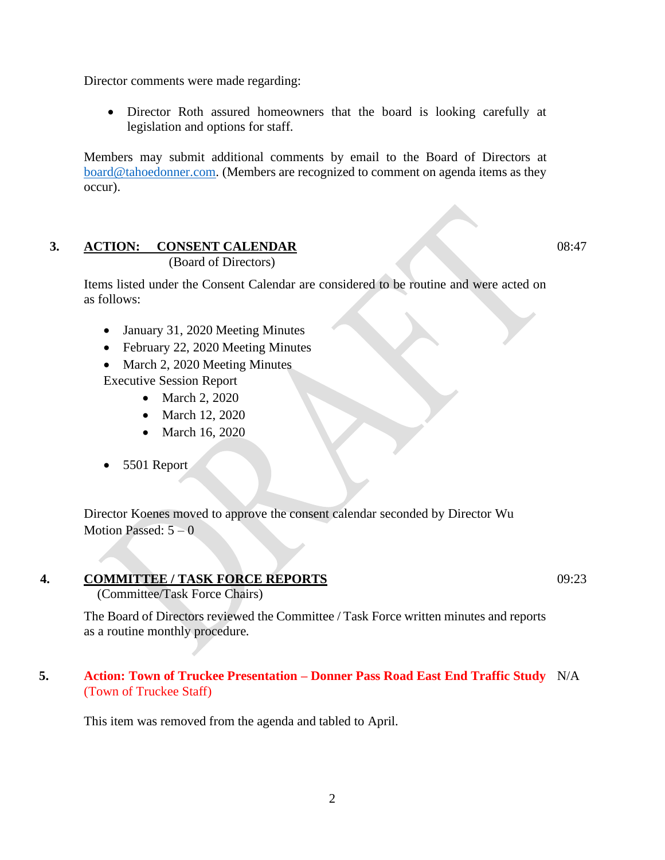Director comments were made regarding:

• Director Roth assured homeowners that the board is looking carefully at legislation and options for staff.

Members may submit additional comments by email to the Board of Directors at [board@tahoedonner.com.](mailto:board@tahoedonner.com) (Members are recognized to comment on agenda items as they occur).

# **3. ACTION: CONSENT CALENDAR**

(Board of Directors)

Items listed under the Consent Calendar are considered to be routine and were acted on as follows:

- January 31, 2020 Meeting Minutes
- February 22, 2020 Meeting Minutes
- March 2, 2020 Meeting Minutes Executive Session Report
	- March 2, 2020
	- March 12, 2020
	- March 16, 2020
- 5501 Report

Director Koenes moved to approve the consent calendar seconded by Director Wu Motion Passed:  $5 - 0$ 

#### **4. COMMITTEE / TASK FORCE REPORTS**

(Committee/Task Force Chairs)

The Board of Directors reviewed the Committee / Task Force written minutes and reports as a routine monthly procedure.

#### **5. Action: Town of Truckee Presentation – Donner Pass Road East End Traffic Study** N/A(Town of Truckee Staff)

This item was removed from the agenda and tabled to April.

09:23

08:47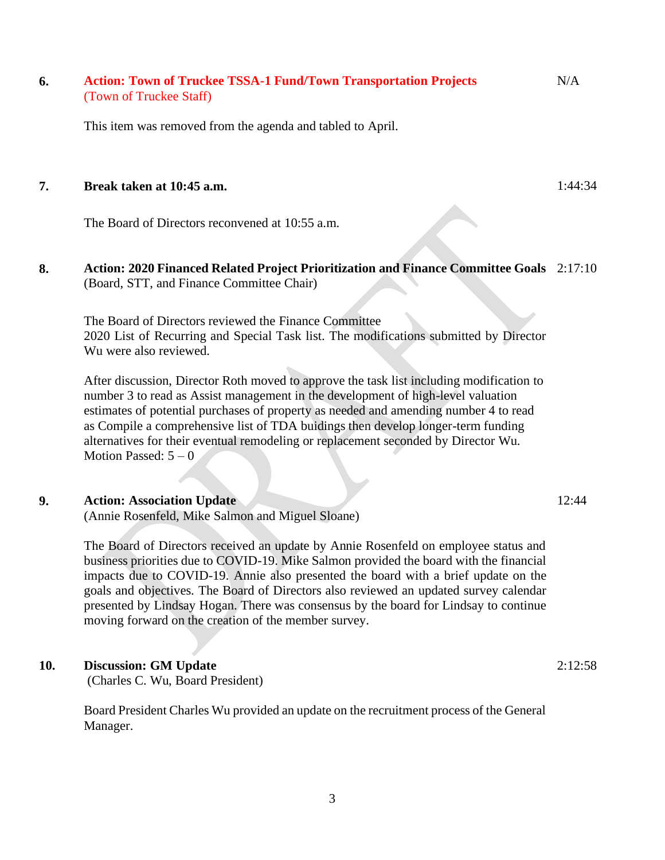#### **6. Action: Town of Truckee TSSA-1 Fund/Town Transportation Projects** (Town of Truckee Staff) N/A

This item was removed from the agenda and tabled to April.

#### **7. Break taken at 10:45 a.m.**

The Board of Directors reconvened at 10:55 a.m.

#### **8. Action: 2020 Financed Related Project Prioritization and Finance Committee Goals** 2:17:10 (Board, STT, and Finance Committee Chair)

The Board of Directors reviewed the Finance Committee 2020 List of Recurring and Special Task list. The modifications submitted by Director Wu were also reviewed.

After discussion, Director Roth moved to approve the task list including modification to number 3 to read as Assist management in the development of high-level valuation estimates of potential purchases of property as needed and amending number 4 to read as Compile a comprehensive list of TDA buidings then develop longer-term funding alternatives for their eventual remodeling or replacement seconded by Director Wu. Motion Passed:  $5 - 0$ 

#### **9. Action: Association Update**

(Annie Rosenfeld, Mike Salmon and Miguel Sloane)

The Board of Directors received an update by Annie Rosenfeld on employee status and business priorities due to COVID-19. Mike Salmon provided the board with the financial impacts due to COVID-19. Annie also presented the board with a brief update on the goals and objectives. The Board of Directors also reviewed an updated survey calendar presented by Lindsay Hogan. There was consensus by the board for Lindsay to continue moving forward on the creation of the member survey.

#### **10. Discussion: GM Update**

(Charles C. Wu, Board President)

Board President Charles Wu provided an update on the recruitment process of the General Manager.

2:12:58

1:44:34

12:44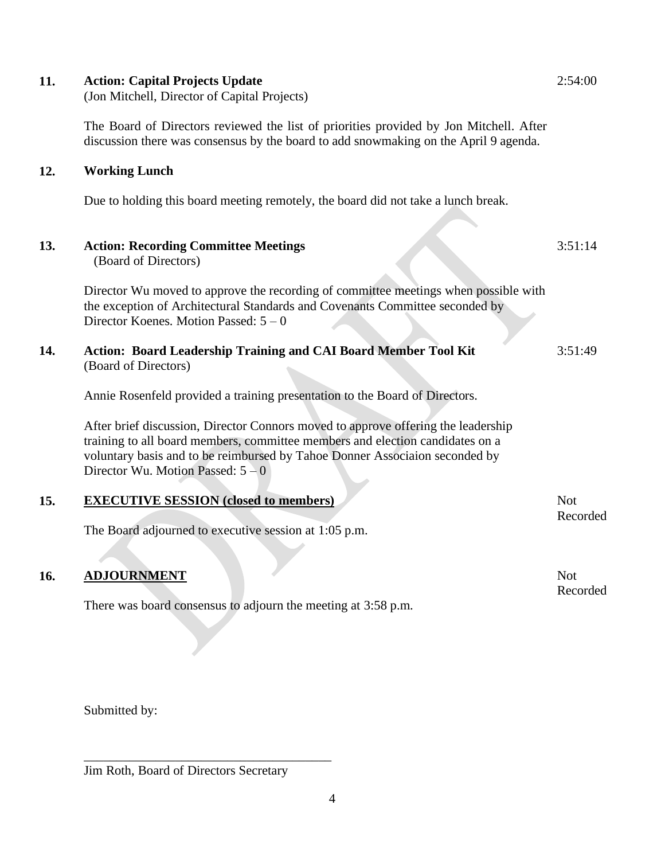| 11. | <b>Action: Capital Projects Update</b><br>(Jon Mitchell, Director of Capital Projects)                                                                                                                                                                                                 | 2:54:00                |
|-----|----------------------------------------------------------------------------------------------------------------------------------------------------------------------------------------------------------------------------------------------------------------------------------------|------------------------|
|     | The Board of Directors reviewed the list of priorities provided by Jon Mitchell. After<br>discussion there was consensus by the board to add snowmaking on the April 9 agenda.                                                                                                         |                        |
| 12. | <b>Working Lunch</b>                                                                                                                                                                                                                                                                   |                        |
|     | Due to holding this board meeting remotely, the board did not take a lunch break.                                                                                                                                                                                                      |                        |
| 13. | <b>Action: Recording Committee Meetings</b><br>(Board of Directors)                                                                                                                                                                                                                    | 3:51:14                |
|     | Director Wu moved to approve the recording of committee meetings when possible with<br>the exception of Architectural Standards and Covenants Committee seconded by<br>Director Koenes. Motion Passed: $5-0$                                                                           |                        |
| 14. | Action: Board Leadership Training and CAI Board Member Tool Kit<br>(Board of Directors)                                                                                                                                                                                                | 3:51:49                |
|     | Annie Rosenfeld provided a training presentation to the Board of Directors.                                                                                                                                                                                                            |                        |
|     | After brief discussion, Director Connors moved to approve offering the leadership<br>training to all board members, committee members and election candidates on a<br>voluntary basis and to be reimbursed by Tahoe Donner Associaion seconded by<br>Director Wu. Motion Passed: $5-0$ |                        |
| 15. | <b>EXECUTIVE SESSION (closed to members)</b>                                                                                                                                                                                                                                           | <b>Not</b>             |
|     | The Board adjourned to executive session at 1:05 p.m.                                                                                                                                                                                                                                  | Recorded               |
| 16. | <b>ADJOURNMENT</b><br>There was board consensus to adjourn the meeting at 3:58 p.m.                                                                                                                                                                                                    | <b>Not</b><br>Recorded |
|     |                                                                                                                                                                                                                                                                                        |                        |

Submitted by:

Jim Roth, Board of Directors Secretary

\_\_\_\_\_\_\_\_\_\_\_\_\_\_\_\_\_\_\_\_\_\_\_\_\_\_\_\_\_\_\_\_\_\_\_\_\_\_